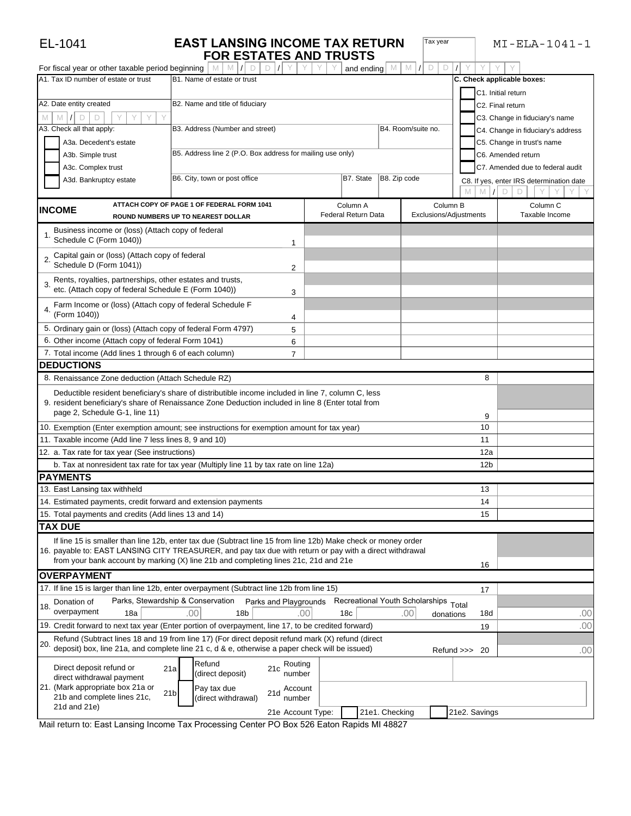| For fiscal year or other taxable period beginning                            | <b>FOR ESTATES AND TRUSTS</b>                                                                                                                                                                            |                        | M<br>D<br>D<br>M                      |                            |                                          |
|------------------------------------------------------------------------------|----------------------------------------------------------------------------------------------------------------------------------------------------------------------------------------------------------|------------------------|---------------------------------------|----------------------------|------------------------------------------|
| A1. Tax ID number of estate or trust                                         | B1. Name of estate or trust                                                                                                                                                                              | and ending             |                                       | C. Check applicable boxes: |                                          |
|                                                                              |                                                                                                                                                                                                          |                        |                                       |                            |                                          |
|                                                                              |                                                                                                                                                                                                          |                        |                                       | C1. Initial return         |                                          |
| A2. Date entity created                                                      | B2. Name and title of fiduciary                                                                                                                                                                          |                        |                                       | C2. Final return           |                                          |
| M<br>D<br>D                                                                  |                                                                                                                                                                                                          |                        |                                       |                            | C3. Change in fiduciary's name           |
| A3. Check all that apply:                                                    | B3. Address (Number and street)                                                                                                                                                                          |                        | B4. Room/suite no.                    |                            | C4. Change in fiduciary's address        |
| A3a. Decedent's estate                                                       |                                                                                                                                                                                                          |                        |                                       |                            | C5. Change in trust's name               |
| A3b. Simple trust                                                            | B5. Address line 2 (P.O. Box address for mailing use only)                                                                                                                                               |                        |                                       |                            | C6. Amended return                       |
| A3c. Complex trust                                                           |                                                                                                                                                                                                          |                        |                                       |                            | C7. Amended due to federal audit         |
| A3d. Bankruptcy estate                                                       | B6. City, town or post office                                                                                                                                                                            | B7. State              | B8. Zip code                          |                            | C8. If yes, enter IRS determination date |
|                                                                              |                                                                                                                                                                                                          |                        |                                       | M                          | D                                        |
| <b>INCOME</b>                                                                | ATTACH COPY OF PAGE 1 OF FEDERAL FORM 1041                                                                                                                                                               | Column A               |                                       | Column B                   | Column <sub>C</sub>                      |
|                                                                              | ROUND NUMBERS UP TO NEAREST DOLLAR                                                                                                                                                                       | Federal Return Data    |                                       | Exclusions/Adjustments     | Taxable Income                           |
| Business income or (loss) (Attach copy of federal<br>Schedule C (Form 1040)) | 1                                                                                                                                                                                                        |                        |                                       |                            |                                          |
| Capital gain or (loss) (Attach copy of federal<br>Schedule D (Form 1041))    | $\overline{2}$                                                                                                                                                                                           |                        |                                       |                            |                                          |
| 3. Rents, royalties, partnerships, other estates and trusts,                 |                                                                                                                                                                                                          |                        |                                       |                            |                                          |
| etc. (Attach copy of federal Schedule E (Form 1040))                         | 3                                                                                                                                                                                                        |                        |                                       |                            |                                          |
| Farm Income or (loss) (Attach copy of federal Schedule F                     |                                                                                                                                                                                                          |                        |                                       |                            |                                          |
| 4.<br>(Form 1040))                                                           | 4                                                                                                                                                                                                        |                        |                                       |                            |                                          |
| 5. Ordinary gain or (loss) (Attach copy of federal Form 4797)                | 5                                                                                                                                                                                                        |                        |                                       |                            |                                          |
| 6. Other income (Attach copy of federal Form 1041)                           | 6                                                                                                                                                                                                        |                        |                                       |                            |                                          |
| 7. Total income (Add lines 1 through 6 of each column)                       | $\overline{7}$                                                                                                                                                                                           |                        |                                       |                            |                                          |
| <b>DEDUCTIONS</b>                                                            |                                                                                                                                                                                                          |                        |                                       |                            |                                          |
| 8. Renaissance Zone deduction (Attach Schedule RZ)                           |                                                                                                                                                                                                          |                        |                                       | 8                          |                                          |
|                                                                              |                                                                                                                                                                                                          |                        |                                       |                            |                                          |
| page 2, Schedule G-1, line 11)                                               | Deductible resident beneficiary's share of distributible income included in line 7, column C, less<br>9. resident beneficiary's share of Renaissance Zone Deduction included in line 8 (Enter total from |                        |                                       |                            |                                          |
|                                                                              |                                                                                                                                                                                                          |                        |                                       | 9                          |                                          |
|                                                                              | 10. Exemption (Enter exemption amount; see instructions for exemption amount for tax year)                                                                                                               |                        |                                       | 10                         |                                          |
| 11. Taxable income (Add line 7 less lines 8, 9 and 10)                       |                                                                                                                                                                                                          |                        |                                       | 11                         |                                          |
| 12. a. Tax rate for tax year (See instructions)                              |                                                                                                                                                                                                          |                        |                                       | 12a                        |                                          |
|                                                                              | b. Tax at nonresident tax rate for tax year (Multiply line 11 by tax rate on line 12a)                                                                                                                   |                        |                                       | 12 <sub>b</sub>            |                                          |
| <b>PAYMENTS</b>                                                              |                                                                                                                                                                                                          |                        |                                       |                            |                                          |
| 13. East Lansing tax withheld                                                |                                                                                                                                                                                                          |                        |                                       | 13                         |                                          |
| 14. Estimated payments, credit forward and extension payments                |                                                                                                                                                                                                          |                        |                                       | 14                         |                                          |
| 15. Total payments and credits (Add lines 13 and 14)                         |                                                                                                                                                                                                          |                        |                                       | 15                         |                                          |
| <b>TAX DUE</b>                                                               |                                                                                                                                                                                                          |                        |                                       |                            |                                          |
|                                                                              | If line 15 is smaller than line 12b, enter tax due (Subtract line 15 from line 12b) Make check or money order                                                                                            |                        |                                       |                            |                                          |
|                                                                              | 16. payable to: EAST LANSING CITY TREASURER, and pay tax due with return or pay with a direct withdrawal                                                                                                 |                        |                                       |                            |                                          |
|                                                                              | from your bank account by marking (X) line 21b and completing lines 21c, 21d and 21e                                                                                                                     |                        |                                       | 16                         |                                          |
| <b>OVERPAYMENT</b>                                                           |                                                                                                                                                                                                          |                        |                                       |                            |                                          |
|                                                                              | 17. If line 15 is larger than line 12b, enter overpayment (Subtract line 12b from line 15)                                                                                                               |                        |                                       | 17                         |                                          |
| Donation of<br>18.                                                           | Parks, Stewardship & Conservation<br>Parks and Playgrounds                                                                                                                                               |                        | Recreational Youth Scholarships Total |                            |                                          |
| overpayment<br>18a                                                           | .00<br>18 <sub>b</sub>                                                                                                                                                                                   | .00<br>18 <sub>c</sub> | .00                                   | 18d<br>donations           | .00                                      |
|                                                                              | 19. Credit forward to next tax year (Enter portion of overpayment, line 17, to be credited forward)                                                                                                      |                        |                                       | 19                         | .00                                      |
| 20.                                                                          | Refund (Subtract lines 18 and 19 from line 17) (For direct deposit refund mark (X) refund (direct<br>deposit) box, line 21a, and complete line 21 c, d & e, otherwise a paper check will be issued)      |                        |                                       |                            |                                          |
|                                                                              |                                                                                                                                                                                                          |                        |                                       | Refund >>> 20              | .00                                      |
| Direct deposit refund or                                                     | Refund<br>Routing<br>21a<br>21c<br>number                                                                                                                                                                |                        |                                       |                            |                                          |
| direct withdrawal payment                                                    | (direct deposit)                                                                                                                                                                                         |                        |                                       |                            |                                          |
| 21. (Mark appropriate box 21a or<br>21b and complete lines 21c,              | Pay tax due<br>Account<br>21d<br>21 <sub>b</sub>                                                                                                                                                         |                        |                                       |                            |                                          |
| 21d and 21e)                                                                 | (direct withdrawal)<br>number                                                                                                                                                                            |                        |                                       |                            |                                          |
|                                                                              |                                                                                                                                                                                                          | 21e Account Type:      | 21e1. Checking                        | 21e2. Savings              |                                          |

**EL-1041 EAST LANSING INCOME TAX RETURN Tax year** MI-ELA-1041-1

Mail return to: East Lansing Income Tax Processing Center PO Box 526 Eaton Rapids MI 48827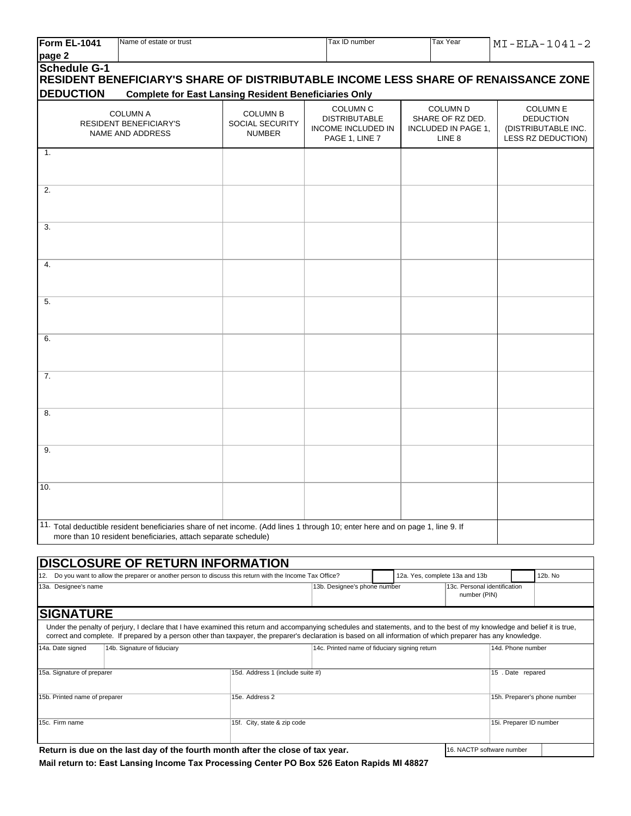| Form EL-1041                  | Name of estate or trust                                                                                                                                                                                                                                                                                                                      |                                                     | Tax ID number                                                                          |  | Tax Year                                                                        |                         | $MI$ -ELA-1041-2                                                                 |
|-------------------------------|----------------------------------------------------------------------------------------------------------------------------------------------------------------------------------------------------------------------------------------------------------------------------------------------------------------------------------------------|-----------------------------------------------------|----------------------------------------------------------------------------------------|--|---------------------------------------------------------------------------------|-------------------------|----------------------------------------------------------------------------------|
| page 2                        |                                                                                                                                                                                                                                                                                                                                              |                                                     |                                                                                        |  |                                                                                 |                         |                                                                                  |
| <b>Schedule G-1</b>           | RESIDENT BENEFICIARY'S SHARE OF DISTRIBUTABLE INCOME LESS SHARE OF RENAISSANCE ZONE                                                                                                                                                                                                                                                          |                                                     |                                                                                        |  |                                                                                 |                         |                                                                                  |
| <b>DEDUCTION</b>              | <b>Complete for East Lansing Resident Beneficiaries Only</b>                                                                                                                                                                                                                                                                                 |                                                     |                                                                                        |  |                                                                                 |                         |                                                                                  |
|                               | <b>COLUMN A</b><br><b>RESIDENT BENEFICIARY'S</b><br>NAME AND ADDRESS                                                                                                                                                                                                                                                                         | <b>COLUMN B</b><br>SOCIAL SECURITY<br><b>NUMBER</b> | <b>COLUMN C</b><br><b>DISTRIBUTABLE</b><br><b>INCOME INCLUDED IN</b><br>PAGE 1, LINE 7 |  | <b>COLUMN D</b><br>SHARE OF RZ DED.<br>INCLUDED IN PAGE 1,<br>LINE <sub>8</sub> |                         | <b>COLUMN E</b><br><b>DEDUCTION</b><br>(DISTRIBUTABLE INC.<br>LESS RZ DEDUCTION) |
| $\mathbf{1}$ .                |                                                                                                                                                                                                                                                                                                                                              |                                                     |                                                                                        |  |                                                                                 |                         |                                                                                  |
| 2.                            |                                                                                                                                                                                                                                                                                                                                              |                                                     |                                                                                        |  |                                                                                 |                         |                                                                                  |
| 3.                            |                                                                                                                                                                                                                                                                                                                                              |                                                     |                                                                                        |  |                                                                                 |                         |                                                                                  |
| 4.                            |                                                                                                                                                                                                                                                                                                                                              |                                                     |                                                                                        |  |                                                                                 |                         |                                                                                  |
| 5.                            |                                                                                                                                                                                                                                                                                                                                              |                                                     |                                                                                        |  |                                                                                 |                         |                                                                                  |
| 6.                            |                                                                                                                                                                                                                                                                                                                                              |                                                     |                                                                                        |  |                                                                                 |                         |                                                                                  |
| 7.                            |                                                                                                                                                                                                                                                                                                                                              |                                                     |                                                                                        |  |                                                                                 |                         |                                                                                  |
| 8.                            |                                                                                                                                                                                                                                                                                                                                              |                                                     |                                                                                        |  |                                                                                 |                         |                                                                                  |
| 9.                            |                                                                                                                                                                                                                                                                                                                                              |                                                     |                                                                                        |  |                                                                                 |                         |                                                                                  |
| 10.                           |                                                                                                                                                                                                                                                                                                                                              |                                                     |                                                                                        |  |                                                                                 |                         |                                                                                  |
|                               | 11. Total deductible resident beneficiaries share of net income. (Add lines 1 through 10; enter here and on page 1, line 9. If<br>more than 10 resident beneficiaries, attach separate schedule)                                                                                                                                             |                                                     |                                                                                        |  |                                                                                 |                         |                                                                                  |
|                               |                                                                                                                                                                                                                                                                                                                                              |                                                     |                                                                                        |  |                                                                                 |                         |                                                                                  |
|                               | <b>DISCLOSURE OF RETURN INFORMATION</b>                                                                                                                                                                                                                                                                                                      |                                                     |                                                                                        |  |                                                                                 |                         |                                                                                  |
|                               | 12. Do you want to allow the preparer or another person to discuss this return with the Income Tax Office?                                                                                                                                                                                                                                   |                                                     |                                                                                        |  | 12a. Yes, complete 13a and 13b                                                  |                         | 12b. No                                                                          |
| 13a. Designee's name          |                                                                                                                                                                                                                                                                                                                                              |                                                     | 13b. Designee's phone number                                                           |  | 13c. Personal identification<br>number (PIN)                                    |                         |                                                                                  |
| <b>SIGNATURE</b>              |                                                                                                                                                                                                                                                                                                                                              |                                                     |                                                                                        |  |                                                                                 |                         |                                                                                  |
|                               | Under the penalty of perjury, I declare that I have examined this return and accompanying schedules and statements, and to the best of my knowledge and belief it is true,<br>correct and complete. If prepared by a person other than taxpayer, the preparer's declaration is based on all information of which preparer has any knowledge. |                                                     |                                                                                        |  |                                                                                 |                         |                                                                                  |
| 14a. Date signed              | 14b. Signature of fiduciary                                                                                                                                                                                                                                                                                                                  |                                                     | 14c. Printed name of fiduciary signing return                                          |  |                                                                                 | 14d. Phone number       |                                                                                  |
| 15a. Signature of preparer    |                                                                                                                                                                                                                                                                                                                                              | 15d. Address 1 (include suite #)                    |                                                                                        |  |                                                                                 | 15 . Date repared       |                                                                                  |
| 15b. Printed name of preparer |                                                                                                                                                                                                                                                                                                                                              | 15e. Address 2                                      |                                                                                        |  |                                                                                 |                         | 15h. Preparer's phone number                                                     |
| 15c. Firm name                |                                                                                                                                                                                                                                                                                                                                              | 15f. City, state & zip code                         |                                                                                        |  |                                                                                 | 15i. Preparer ID number |                                                                                  |

|  | Return is due on the last day of the fourth month after the close of tax year. |  |
|--|--------------------------------------------------------------------------------|--|
|--|--------------------------------------------------------------------------------|--|

**Mail return to: East Lansing Income Tax Processing Center PO Box 526 Eaton Rapids MI 48827**

16. NACTP software number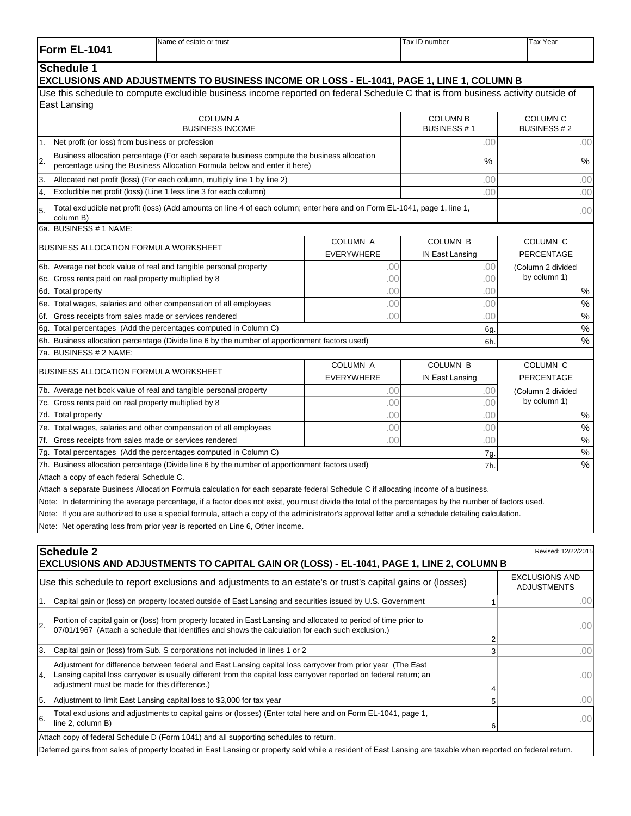| <b>Form EL-1041</b>                                     | Name of estate or trust                                                                                                                                                                                              |                                      | Tax ID number                             | Tax Year                                    |
|---------------------------------------------------------|----------------------------------------------------------------------------------------------------------------------------------------------------------------------------------------------------------------------|--------------------------------------|-------------------------------------------|---------------------------------------------|
| <b>Schedule 1</b>                                       | EXCLUSIONS AND ADJUSTMENTS TO BUSINESS INCOME OR LOSS - EL-1041, PAGE 1, LINE 1, COLUMN B                                                                                                                            |                                      |                                           |                                             |
| East Lansing                                            | Use this schedule to compute excludible business income reported on federal Schedule C that is from business activity outside of                                                                                     |                                      |                                           |                                             |
|                                                         | <b>COLUMN A</b><br><b>BUSINESS INCOME</b>                                                                                                                                                                            |                                      | <b>COLUMN B</b><br><b>BUSINESS#1</b>      | <b>COLUMN C</b><br><b>BUSINESS #2</b>       |
| Net profit (or loss) from business or profession<br>1.  |                                                                                                                                                                                                                      |                                      | .00                                       | .00                                         |
| 2.                                                      | Business allocation percentage (For each separate business compute the business allocation<br>percentage using the Business Allocation Formula below and enter it here)                                              |                                      | %                                         | $\%$                                        |
| 3.                                                      | Allocated net profit (loss) (For each column, multiply line 1 by line 2)                                                                                                                                             |                                      | .00                                       | .00                                         |
| 4.                                                      | Excludible net profit (loss) (Line 1 less line 3 for each column)                                                                                                                                                    |                                      | .00                                       | .00                                         |
| 5.<br>column B)                                         | Total excludible net profit (loss) (Add amounts on line 4 of each column; enter here and on Form EL-1041, page 1, line 1,                                                                                            |                                      |                                           | .00                                         |
| 6a. BUSINESS # 1 NAME:                                  |                                                                                                                                                                                                                      |                                      |                                           |                                             |
| <b>BUSINESS ALLOCATION FORMULA WORKSHEET</b>            |                                                                                                                                                                                                                      | <b>COLUMN A</b><br><b>EVERYWHERE</b> | <b>COLUMN B</b><br>IN East Lansing        | <b>COLUMN C</b><br><b>PERCENTAGE</b>        |
|                                                         | 6b. Average net book value of real and tangible personal property                                                                                                                                                    | .00                                  | .00                                       | (Column 2 divided                           |
| 6c. Gross rents paid on real property multiplied by 8   |                                                                                                                                                                                                                      | .00                                  | .00                                       | by column 1)                                |
| 6d. Total property                                      |                                                                                                                                                                                                                      | .00                                  | .00                                       | $\%$                                        |
|                                                         | 6e. Total wages, salaries and other compensation of all employees                                                                                                                                                    | .00                                  | .00                                       | $\%$                                        |
| 6f. Gross receipts from sales made or services rendered |                                                                                                                                                                                                                      | .00                                  | .00                                       | %                                           |
|                                                         | 6g. Total percentages (Add the percentages computed in Column C)                                                                                                                                                     |                                      | 6g                                        | $\%$                                        |
|                                                         | 6h. Business allocation percentage (Divide line 6 by the number of apportionment factors used)                                                                                                                       |                                      | 6h.                                       | $\frac{0}{0}$                               |
| 7a. BUSINESS # 2 NAME:                                  |                                                                                                                                                                                                                      |                                      |                                           |                                             |
| <b>BUSINESS ALLOCATION FORMULA WORKSHEET</b>            |                                                                                                                                                                                                                      | <b>COLUMN A</b><br><b>EVERYWHERE</b> | <b>COLUMN B</b><br><b>IN East Lansing</b> | COLUMN <sub>C</sub><br>PERCENTAGE           |
|                                                         | 7b. Average net book value of real and tangible personal property                                                                                                                                                    | .00                                  | .00                                       | (Column 2 divided                           |
| 7c. Gross rents paid on real property multiplied by 8   |                                                                                                                                                                                                                      | .00                                  | .00                                       | by column 1)                                |
| 7d. Total property                                      |                                                                                                                                                                                                                      | .00                                  | .00                                       | %                                           |
|                                                         | 7e. Total wages, salaries and other compensation of all employees                                                                                                                                                    | .00                                  | .00                                       | $\%$                                        |
| 7f. Gross receipts from sales made or services rendered |                                                                                                                                                                                                                      | .00                                  | .00                                       | $\%$                                        |
|                                                         | 7g. Total percentages (Add the percentages computed in Column C)                                                                                                                                                     |                                      | 7g                                        | $\%$                                        |
|                                                         | 7h. Business allocation percentage (Divide line 6 by the number of apportionment factors used)                                                                                                                       |                                      | 7h.                                       | $\frac{0}{0}$                               |
| Attach a copy of each federal Schedule C.               |                                                                                                                                                                                                                      |                                      |                                           |                                             |
|                                                         | Attach a separate Business Allocation Formula calculation for each separate federal Schedule C if allocating income of a business.                                                                                   |                                      |                                           |                                             |
|                                                         | Note: In determining the average percentage, if a factor does not exist, you must divide the total of the percentages by the number of factors used.                                                                 |                                      |                                           |                                             |
|                                                         | Note: If you are authorized to use a special formula, attach a copy of the administrator's approval letter and a schedule detailing calculation.                                                                     |                                      |                                           |                                             |
|                                                         | Note: Net operating loss from prior year is reported on Line 6, Other income.                                                                                                                                        |                                      |                                           |                                             |
| <b>Schedule 2</b>                                       | EXCLUSIONS AND ADJUSTMENTS TO CAPITAL GAIN OR (LOSS) - EL-1041, PAGE 1, LINE 2, COLUMN B                                                                                                                             |                                      |                                           | Revised: 12/22/2015                         |
|                                                         | Use this schedule to report exclusions and adjustments to an estate's or trust's capital gains or (losses)                                                                                                           |                                      |                                           | <b>EXCLUSIONS AND</b><br><b>ADJUSTMENTS</b> |
| 1.                                                      | Capital gain or (loss) on property located outside of East Lansing and securities issued by U.S. Government                                                                                                          |                                      | 1                                         | .00                                         |
| 2.                                                      | Portion of capital gain or (loss) from property located in East Lansing and allocated to period of time prior to<br>07/01/1967 (Attach a schedule that identifies and shows the calculation for each such exclusion) |                                      |                                           | .001                                        |

|    | 07/01/1967 (Attach a schedule that identifies and shows the calculation for each such exclusion.)                                                                                                                                                                                  | $\sim$           |
|----|------------------------------------------------------------------------------------------------------------------------------------------------------------------------------------------------------------------------------------------------------------------------------------|------------------|
|    |                                                                                                                                                                                                                                                                                    |                  |
|    | 3. Capital gain or (loss) from Sub. S corporations not included in lines 1 or 2                                                                                                                                                                                                    | .001             |
| 4. | Adjustment for difference between federal and East Lansing capital loss carryover from prior year (The East<br>Lansing capital loss carryover is usually different from the capital loss carryover reported on federal return; an<br>adjustment must be made for this difference.) | .001             |
|    | 5. Adjustment to limit East Lansing capital loss to \$3,000 for tax year                                                                                                                                                                                                           | .001             |
|    | Total exclusions and adjustments to capital gains or (losses) (Enter total here and on Form EL-1041, page 1,<br>line 2, column B)                                                                                                                                                  | .00 <sub>1</sub> |
|    | Attach copy of federal Schedule D (Form 1041) and all supporting schedules to return.                                                                                                                                                                                              |                  |

Deferred gains from sales of property located in East Lansing or property sold while a resident of East Lansing are taxable when reported on federal return.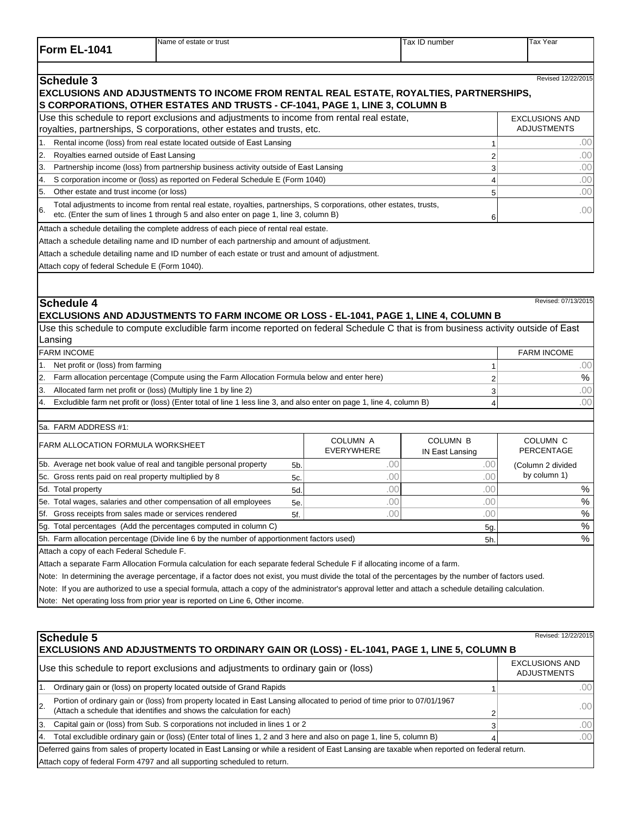| <b>IForm</b><br>$-1044$<br>FI<br>_____ | Name of estate or trust | Tax<br>number | Tax Year |
|----------------------------------------|-------------------------|---------------|----------|
|                                        |                         |               |          |

|     | Schedule 3                                                                                                                                                                                                   | Revised 12/22/2015    |
|-----|--------------------------------------------------------------------------------------------------------------------------------------------------------------------------------------------------------------|-----------------------|
|     | <b>EXCLUSIONS AND ADJUSTMENTS TO INCOME FROM RENTAL REAL ESTATE, ROYALTIES, PARTNERSHIPS,</b>                                                                                                                |                       |
|     | S CORPORATIONS, OTHER ESTATES AND TRUSTS - CF-1041, PAGE 1, LINE 3, COLUMN B                                                                                                                                 |                       |
|     | Use this schedule to report exclusions and adjustments to income from rental real estate,                                                                                                                    | <b>EXCLUSIONS AND</b> |
|     | royalties, partnerships, S corporations, other estates and trusts, etc.                                                                                                                                      | <b>ADJUSTMENTS</b>    |
|     | Rental income (loss) from real estate located outside of East Lansing                                                                                                                                        | .00                   |
| 2.  | Royalties earned outside of East Lansing                                                                                                                                                                     | .00                   |
| 13. | Partnership income (loss) from partnership business activity outside of East Lansing                                                                                                                         | .00                   |
| I4. | S corporation income or (loss) as reported on Federal Schedule E (Form 1040)                                                                                                                                 | .00                   |
| 5.  | Other estate and trust income (or loss)                                                                                                                                                                      | .00                   |
| 6.  | Total adjustments to income from rental real estate, royalties, partnerships, S corporations, other estates, trusts,<br>etc. (Enter the sum of lines 1 through 5 and also enter on page 1, line 3, column B) | .00                   |
|     | Attach a schedule detailing the complete address of each piece of rental real estate.                                                                                                                        |                       |
|     | Attach a schedule detailing name and ID number of each partnership and amount of adjustment.                                                                                                                 |                       |
|     | Attach a schedule detailing name and ID number of each estate or trust and amount of adjustment.                                                                                                             |                       |
|     | Attach copy of federal Schedule E (Form 1040).                                                                                                                                                               |                       |

## Revised: 07/13/2015 **Schedule 4**

## **EXCLUSIONS AND ADJUSTMENTS TO FARM INCOME OR LOSS - EL-1041, PAGE 1, LINE 4, COLUMN B**

Use this schedule to compute excludible farm income reported on federal Schedule C that is from business activity outside of East Lansing

|                | <b>FARM INCOME</b>                                                                                                   | <b>FARM INCOME</b> |
|----------------|----------------------------------------------------------------------------------------------------------------------|--------------------|
|                | 1. Net profit or (loss) from farming                                                                                 | 00                 |
|                | [2. Farm allocation percentage (Compute using the Farm Allocation Formula below and enter here)                      | %                  |
| 13.            | Allocated farm net profit or (loss) (Multiply line 1 by line 2)                                                      | 00                 |
| $\overline{4}$ | Excludible farm net profit or (loss) (Enter total of line 1 less line 3, and also enter on page 1, line 4, column B) | ΩO                 |
|                |                                                                                                                      |                    |

## 5a. FARM ADDRESS #1:

| <b>FARM ALLOCATION FORMULA WORKSHEET</b>                                                   |                | <b>COLUMN A</b><br>EVERYWHERE | <b>COLUMN B</b><br>IN East Lansing | COLUMN <sub>C</sub><br>PERCENTAGE |
|--------------------------------------------------------------------------------------------|----------------|-------------------------------|------------------------------------|-----------------------------------|
| 5b. Average net book value of real and tangible personal property                          | 5 <sub>b</sub> | .00                           | .OC                                | (Column 2 divided                 |
| 5c. Gross rents paid on real property multiplied by 8                                      | 5c.            | .00                           | .00                                | by column 1)                      |
| 5d. Total property                                                                         | 5d.            | .00                           | J۷.                                | %                                 |
| 5e. Total wages, salaries and other compensation of all employees                          | 5e.            | .00                           | .00                                | $\%$                              |
| 5f. Gross receipts from sales made or services rendered                                    | 5f             | .00                           | .00'                               | $\%$                              |
| [5g. Total percentages (Add the percentages computed in column C)                          |                |                               | 5g.                                | %                                 |
| 5h. Farm allocation percentage (Divide line 6 by the number of apportionment factors used) |                |                               | 5h.                                | $\%$                              |
| Attach a copy of soch Eaderal Schodule E                                                   |                |                               |                                    |                                   |

ch a copy of each Federal Schedule F.

Attach a separate Farm Allocation Formula calculation for each separate federal Schedule F if allocating income of a farm.

Note: In determining the average percentage, if a factor does not exist, you must divide the total of the percentages by the number of factors used.

Note: If you are authorized to use a special formula, attach a copy of the administrator's approval letter and attach a schedule detailing calculation.

Note: Net operating loss from prior year is reported on Line 6, Other income.

| Schedule 5<br>Revised: 12/22/2015<br><b>EXCLUSIONS AND ADJUSTMENTS TO ORDINARY GAIN OR (LOSS) - EL-1041, PAGE 1, LINE 5, COLUMN B</b> |                                                                                                                                                                                                    |  |                                             |  |  |
|---------------------------------------------------------------------------------------------------------------------------------------|----------------------------------------------------------------------------------------------------------------------------------------------------------------------------------------------------|--|---------------------------------------------|--|--|
|                                                                                                                                       | Use this schedule to report exclusions and adjustments to ordinary gain or (loss)                                                                                                                  |  | <b>EXCLUSIONS AND</b><br><b>ADJUSTMENTS</b> |  |  |
|                                                                                                                                       | Ordinary gain or (loss) on property located outside of Grand Rapids                                                                                                                                |  | .001                                        |  |  |
| I <sub>2</sub>                                                                                                                        | Portion of ordinary gain or (loss) from property located in East Lansing allocated to period of time prior to 07/01/1967<br>(Attach a schedule that identifies and shows the calculation for each) |  | .00                                         |  |  |
| 3.                                                                                                                                    | Capital gain or (loss) from Sub. S corporations not included in lines 1 or 2                                                                                                                       |  | .00                                         |  |  |
| 4.                                                                                                                                    | Total excludible ordinary gain or (loss) (Enter total of lines 1, 2 and 3 here and also on page 1, line 5, column B)                                                                               |  | .00                                         |  |  |
|                                                                                                                                       | Deferred gains from sales of property located in East Lansing or while a resident of East Lansing are taxable when reported on federal return.                                                     |  |                                             |  |  |
|                                                                                                                                       | Attach copy of federal Form 4797 and all supporting scheduled to return.                                                                                                                           |  |                                             |  |  |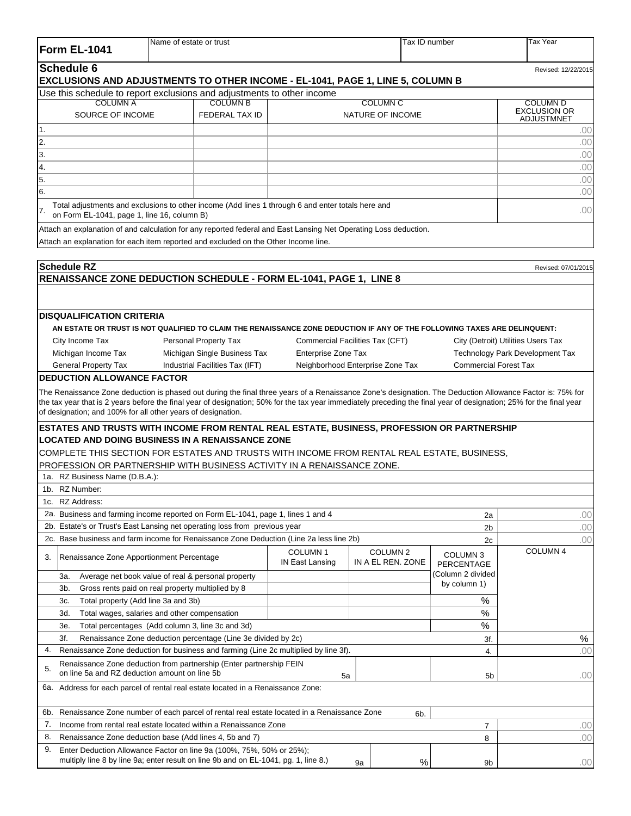| Form EL-1041                                       | Name of estate or trust                                                                                                                                                                                                                                                                                                                                                                          |                                               | Tax ID number                            |                              | <b>Tax Year</b>                    |
|----------------------------------------------------|--------------------------------------------------------------------------------------------------------------------------------------------------------------------------------------------------------------------------------------------------------------------------------------------------------------------------------------------------------------------------------------------------|-----------------------------------------------|------------------------------------------|------------------------------|------------------------------------|
| <b>Schedule 6</b>                                  | EXCLUSIONS AND ADJUSTMENTS TO OTHER INCOME - EL-1041, PAGE 1, LINE 5, COLUMN B                                                                                                                                                                                                                                                                                                                   |                                               |                                          |                              | Revised: 12/22/2015                |
|                                                    | Use this schedule to report exclusions and adjustments to other income                                                                                                                                                                                                                                                                                                                           |                                               |                                          |                              |                                    |
| <b>COLUMN A</b>                                    | <b>COLUMN B</b>                                                                                                                                                                                                                                                                                                                                                                                  |                                               | <b>COLUMN C</b>                          |                              | <b>COLUMN D</b>                    |
| SOURCE OF INCOME                                   | <b>FEDERAL TAX ID</b>                                                                                                                                                                                                                                                                                                                                                                            |                                               | NATURE OF INCOME                         |                              | <b>EXCLUSION OR</b>                |
| 1.                                                 |                                                                                                                                                                                                                                                                                                                                                                                                  |                                               |                                          |                              | ADJUSTMNET<br>.00                  |
| 2.                                                 |                                                                                                                                                                                                                                                                                                                                                                                                  |                                               |                                          |                              | .00                                |
| 3.                                                 |                                                                                                                                                                                                                                                                                                                                                                                                  |                                               |                                          |                              | .00                                |
|                                                    |                                                                                                                                                                                                                                                                                                                                                                                                  |                                               |                                          |                              |                                    |
| 4.                                                 |                                                                                                                                                                                                                                                                                                                                                                                                  |                                               |                                          |                              | .00                                |
| 5.                                                 |                                                                                                                                                                                                                                                                                                                                                                                                  |                                               |                                          |                              | .00                                |
| 6.                                                 |                                                                                                                                                                                                                                                                                                                                                                                                  |                                               |                                          |                              | .00                                |
| 17.<br>on Form EL-1041, page 1, line 16, column B) | Total adjustments and exclusions to other income (Add lines 1 through 6 and enter totals here and                                                                                                                                                                                                                                                                                                |                                               |                                          |                              | .00                                |
|                                                    | Attach an explanation of and calculation for any reported federal and East Lansing Net Operating Loss deduction.                                                                                                                                                                                                                                                                                 |                                               |                                          |                              |                                    |
|                                                    | Attach an explanation for each item reported and excluded on the Other Income line.                                                                                                                                                                                                                                                                                                              |                                               |                                          |                              |                                    |
| <b>Schedule RZ</b>                                 |                                                                                                                                                                                                                                                                                                                                                                                                  |                                               |                                          |                              | Revised: 07/01/2015                |
|                                                    | RENAISSANCE ZONE DEDUCTION SCHEDULE - FORM EL-1041, PAGE 1, LINE 8                                                                                                                                                                                                                                                                                                                               |                                               |                                          |                              |                                    |
|                                                    |                                                                                                                                                                                                                                                                                                                                                                                                  |                                               |                                          |                              |                                    |
| <b>DISQUALIFICATION CRITERIA</b>                   |                                                                                                                                                                                                                                                                                                                                                                                                  |                                               |                                          |                              |                                    |
|                                                    | AN ESTATE OR TRUST IS NOT QUALIFIED TO CLAIM THE RENAISSANCE ZONE DEDUCTION IF ANY OF THE FOLLOWING TAXES ARE DELINQUENT:                                                                                                                                                                                                                                                                        |                                               |                                          |                              |                                    |
| City Income Tax                                    | Personal Property Tax                                                                                                                                                                                                                                                                                                                                                                            |                                               | Commercial Facilities Tax (CFT)          |                              | City (Detroit) Utilities Users Tax |
| Michigan Income Tax                                | Michigan Single Business Tax                                                                                                                                                                                                                                                                                                                                                                     | Enterprise Zone Tax                           |                                          |                              | Technology Park Development Tax    |
| <b>General Property Tax</b>                        | Industrial Facilities Tax (IFT)                                                                                                                                                                                                                                                                                                                                                                  |                                               | Neighborhood Enterprise Zone Tax         | <b>Commercial Forest Tax</b> |                                    |
| <b>DEDUCTION ALLOWANCE FACTOR</b>                  |                                                                                                                                                                                                                                                                                                                                                                                                  |                                               |                                          |                              |                                    |
|                                                    | The Renaissance Zone deduction is phased out during the final three years of a Renaissance Zone's designation. The Deduction Allowance Factor is: 75% for<br>the tax year that is 2 years before the final year of designation; 50% for the tax year immediately preceding the final year of designation; 25% for the final year<br>of designation; and 100% for all other years of designation. |                                               |                                          |                              |                                    |
|                                                    | ESTATES AND TRUSTS WITH INCOME FROM RENTAL REAL ESTATE, BUSINESS, PROFESSION OR PARTNERSHIP                                                                                                                                                                                                                                                                                                      |                                               |                                          |                              |                                    |
|                                                    | <b>LOCATED AND DOING BUSINESS IN A RENAISSANCE ZONE</b>                                                                                                                                                                                                                                                                                                                                          |                                               |                                          |                              |                                    |
|                                                    | COMPLETE THIS SECTION FOR ESTATES AND TRUSTS WITH INCOME FROM RENTAL REAL ESTATE, BUSINESS,                                                                                                                                                                                                                                                                                                      |                                               |                                          |                              |                                    |
|                                                    | PROFESSION OR PARTNERSHIP WITH BUSINESS ACTIVITY IN A RENAISSANCE ZONE.                                                                                                                                                                                                                                                                                                                          |                                               |                                          |                              |                                    |
| 1a. RZ Business Name (D.B.A.):                     |                                                                                                                                                                                                                                                                                                                                                                                                  |                                               |                                          |                              |                                    |
| 1b. RZ Number:                                     |                                                                                                                                                                                                                                                                                                                                                                                                  |                                               |                                          |                              |                                    |
| RZ Address:<br>1c.                                 |                                                                                                                                                                                                                                                                                                                                                                                                  |                                               |                                          |                              |                                    |
|                                                    | 2a. Business and farming income reported on Form EL-1041, page 1, lines 1 and 4                                                                                                                                                                                                                                                                                                                  |                                               |                                          | 2a                           | .00                                |
|                                                    | 2b. Estate's or Trust's East Lansing net operating loss from previous year                                                                                                                                                                                                                                                                                                                       |                                               |                                          | 2b                           | .00                                |
|                                                    | 2c. Base business and farm income for Renaissance Zone Deduction (Line 2a less line 2b)                                                                                                                                                                                                                                                                                                          |                                               |                                          | 2c                           | .00                                |
| 3.                                                 | Renaissance Zone Apportionment Percentage                                                                                                                                                                                                                                                                                                                                                        | COLUMN <sub>1</sub><br><b>IN East Lansing</b> | COLUMN <sub>2</sub><br>IN A EL REN. ZONE | COLUMN 3<br>PERCENTAGE       | COLUMN 4                           |
| 3а.                                                | Average net book value of real & personal property                                                                                                                                                                                                                                                                                                                                               |                                               |                                          | (Column 2 divided            |                                    |
| 3b.                                                | Gross rents paid on real property multiplied by 8                                                                                                                                                                                                                                                                                                                                                |                                               |                                          | by column 1)                 |                                    |
| 3c.                                                | Total property (Add line 3a and 3b)                                                                                                                                                                                                                                                                                                                                                              |                                               |                                          | %                            |                                    |
| 3d.                                                | Total wages, salaries and other compensation                                                                                                                                                                                                                                                                                                                                                     |                                               |                                          | ℅                            |                                    |
| 3е.                                                | Total percentages (Add column 3, line 3c and 3d)                                                                                                                                                                                                                                                                                                                                                 |                                               |                                          | ℅                            |                                    |
| 3f.                                                | Renaissance Zone deduction percentage (Line 3e divided by 2c)                                                                                                                                                                                                                                                                                                                                    |                                               |                                          | 3f.                          | %                                  |
| 4.                                                 | Renaissance Zone deduction for business and farming (Line 2c multiplied by line 3f).                                                                                                                                                                                                                                                                                                             |                                               |                                          | 4.                           | .00                                |
| 5.                                                 | Renaissance Zone deduction from partnership (Enter partnership FEIN                                                                                                                                                                                                                                                                                                                              |                                               |                                          |                              |                                    |
|                                                    | on line 5a and RZ deduction amount on line 5b<br>6a. Address for each parcel of rental real estate located in a Renaissance Zone:                                                                                                                                                                                                                                                                | 5a                                            |                                          | 5 <sub>b</sub>               | .00                                |
|                                                    |                                                                                                                                                                                                                                                                                                                                                                                                  |                                               |                                          |                              |                                    |
| 6b.                                                | Renaissance Zone number of each parcel of rental real estate located in a Renaissance Zone                                                                                                                                                                                                                                                                                                       |                                               | 6b.                                      |                              |                                    |
| 7.                                                 | Income from rental real estate located within a Renaissance Zone                                                                                                                                                                                                                                                                                                                                 |                                               |                                          | 7                            | .00                                |
| 8.                                                 | Renaissance Zone deduction base (Add lines 4, 5b and 7)                                                                                                                                                                                                                                                                                                                                          |                                               |                                          | 8                            | .00                                |
| 9.                                                 | Enter Deduction Allowance Factor on line 9a (100%, 75%, 50% or 25%);                                                                                                                                                                                                                                                                                                                             |                                               |                                          |                              |                                    |
|                                                    | multiply line 8 by line 9a; enter result on line 9b and on EL-1041, pg. 1, line 8.)                                                                                                                                                                                                                                                                                                              |                                               | $\%$<br>9a                               | 9b                           | .00                                |